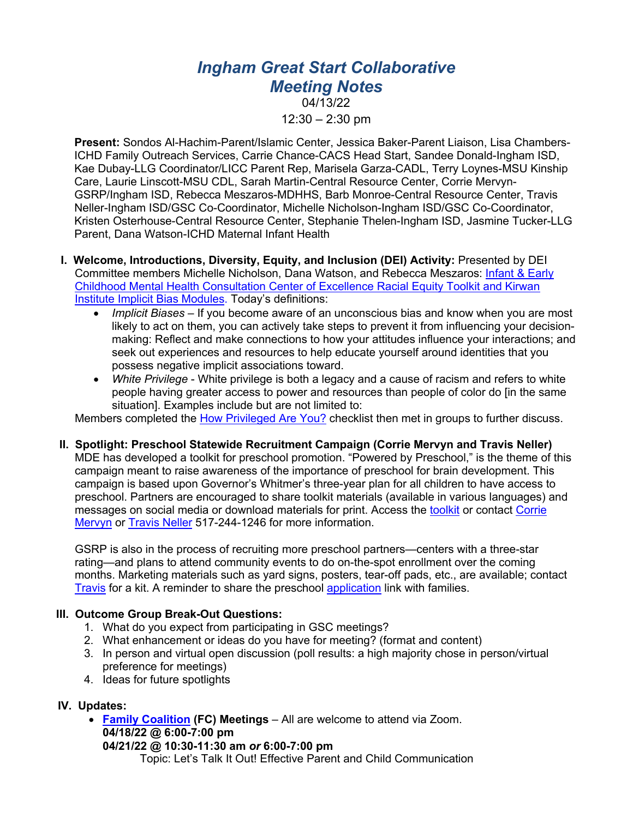## *Ingham Great Start Collaborative Meeting Notes*

04/13/22  $12:30 - 2:30$  pm

**Present:** Sondos Al-Hachim-Parent/Islamic Center, Jessica Baker-Parent Liaison, Lisa Chambers-ICHD Family Outreach Services, Carrie Chance-CACS Head Start, Sandee Donald-Ingham ISD, Kae Dubay-LLG Coordinator/LICC Parent Rep, Marisela Garza-CADL, Terry Loynes-MSU Kinship Care, Laurie Linscott-MSU CDL, Sarah Martin-Central Resource Center, Corrie Mervyn-GSRP/Ingham ISD, Rebecca Meszaros-MDHHS, Barb Monroe-Central Resource Center, Travis Neller-Ingham ISD/GSC Co-Coordinator, Michelle Nicholson-Ingham ISD/GSC Co-Coordinator, Kristen Osterhouse-Central Resource Center, Stephanie Thelen-Ingham ISD, Jasmine Tucker-LLG Parent, Dana Watson-ICHD Maternal Infant Health

- **I. Welcome, Introductions, Diversity, Equity, and Inclusion (DEI) Activity:** Presented by DEI Committee members Michelle Nicholson, Dana Watson, and Rebecca Meszaros: Infant & Early Childhood Mental Health Consultation Center of Excellence Racial Equity Toolkit and Kirwan Institute Implicit Bias Modules. Today's definitions:
	- *Implicit Biases –* If you become aware of an unconscious bias and know when you are most likely to act on them, you can actively take steps to prevent it from influencing your decisionmaking: Reflect and make connections to how your attitudes influence your interactions; and seek out experiences and resources to help educate yourself around identities that you possess negative implicit associations toward.
	- *White Privilege*  White privilege is both a legacy and a cause of racism and refers to white people having greater access to power and resources than people of color do [in the same situation]. Examples include but are not limited to:

Members completed the How Privileged Are You? checklist then met in groups to further discuss.

**II. Spotlight: Preschool Statewide Recruitment Campaign (Corrie Mervyn and Travis Neller)**  MDE has developed a toolkit for preschool promotion. "Powered by Preschool," is the theme of this campaign meant to raise awareness of the importance of preschool for brain development. This campaign is based upon Governor's Whitmer's three-year plan for all children to have access to preschool. Partners are encouraged to share toolkit materials (available in various languages) and messages on social media or download materials for print. Access the toolkit or contact Corrie Mervyn or Travis Neller 517-244-1246 for more information.

GSRP is also in the process of recruiting more preschool partners—centers with a three-star rating—and plans to attend community events to do on-the-spot enrollment over the coming months. Marketing materials such as yard signs, posters, tear-off pads, etc., are available; contact Travis for a kit. A reminder to share the preschool application link with families.

## **III. Outcome Group Break-Out Questions:**

- 1. What do you expect from participating in GSC meetings?
- 2. What enhancement or ideas do you have for meeting? (format and content)
- 3. In person and virtual open discussion (poll results: a high majority chose in person/virtual preference for meetings)
- 4. Ideas for future spotlights

## **IV. Updates:**

• **Family Coalition (FC) Meetings** – All are welcome to attend via Zoom. **04/18/22 @ 6:00-7:00 pm 04/21/22 @ 10:30-11:30 am** *or* **6:00-7:00 pm**

Topic: Let's Talk It Out! Effective Parent and Child Communication